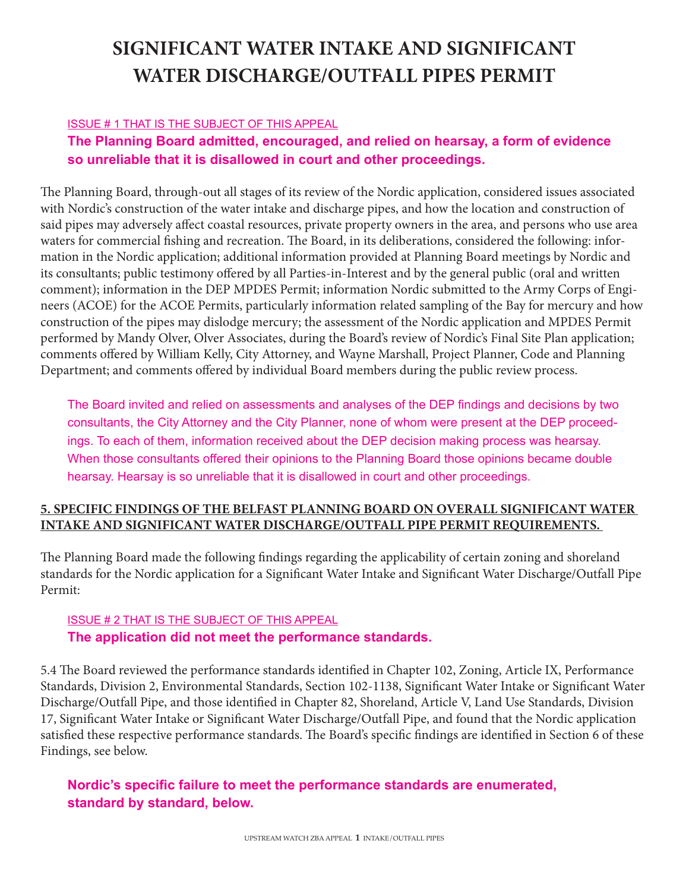# **SIGNIFICANT WATER INTAKE AND SIGNIFICANT WATER DISCHARGE/OUTFALL PIPES PERMIT**

#### ISSUE # 1 THAT IS THE SUBJECT OF THIS APPEAL

## **The Planning Board admitted, encouraged, and relied on hearsay, a form of evidence so unreliable that it is disallowed in court and other proceedings.**

The Planning Board, through-out all stages of its review of the Nordic application, considered issues associated with Nordic's construction of the water intake and discharge pipes, and how the location and construction of said pipes may adversely affect coastal resources, private property owners in the area, and persons who use area waters for commercial fishing and recreation. The Board, in its deliberations, considered the following: information in the Nordic application; additional information provided at Planning Board meetings by Nordic and its consultants; public testimony offered by all Parties-in-Interest and by the general public (oral and written comment); information in the DEP MPDES Permit; information Nordic submitted to the Army Corps of Engineers (ACOE) for the ACOE Permits, particularly information related sampling of the Bay for mercury and how construction of the pipes may dislodge mercury; the assessment of the Nordic application and MPDES Permit performed by Mandy Olver, Olver Associates, during the Board's review of Nordic's Final Site Plan application; comments offered by William Kelly, City Attorney, and Wayne Marshall, Project Planner, Code and Planning Department; and comments offered by individual Board members during the public review process.

The Board invited and relied on assessments and analyses of the DEP findings and decisions by two consultants, the City Attorney and the City Planner, none of whom were present at the DEP proceedings. To each of them, information received about the DEP decision making process was hearsay. When those consultants offered their opinions to the Planning Board those opinions became double hearsay. Hearsay is so unreliable that it is disallowed in court and other proceedings.

### **5. SPECIFIC FINDINGS OF THE BELFAST PLANNING BOARD ON OVERALL SIGNIFICANT WATER INTAKE AND SIGNIFICANT WATER DISCHARGE/OUTFALL PIPE PERMIT REQUIREMENTS.**

The Planning Board made the following findings regarding the applicability of certain zoning and shoreland standards for the Nordic application for a Significant Water Intake and Significant Water Discharge/Outfall Pipe Permit:

## ISSUE # 2 THAT IS THE SUBJECT OF THIS APPEAL **The application did not meet the performance standards.**

5.4 The Board reviewed the performance standards identified in Chapter 102, Zoning, Article IX, Performance Standards, Division 2, Environmental Standards, Section 102-1138, Significant Water Intake or Significant Water Discharge/Outfall Pipe, and those identified in Chapter 82, Shoreland, Article V, Land Use Standards, Division 17, Significant Water Intake or Significant Water Discharge/Outfall Pipe, and found that the Nordic application satisfied these respective performance standards. The Board's specific findings are identified in Section 6 of these Findings, see below.

## **Nordic's specific failure to meet the performance standards are enumerated, standard by standard, below.**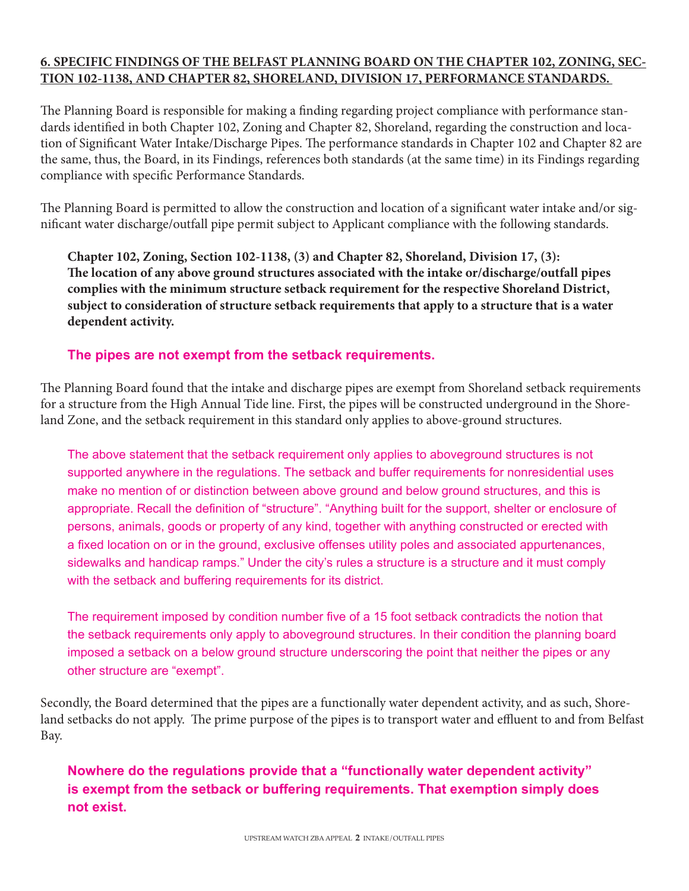#### **6. SPECIFIC FINDINGS OF THE BELFAST PLANNING BOARD ON THE CHAPTER 102, ZONING, SEC-TION 102-1138, AND CHAPTER 82, SHORELAND, DIVISION 17, PERFORMANCE STANDARDS.**

The Planning Board is responsible for making a finding regarding project compliance with performance standards identified in both Chapter 102, Zoning and Chapter 82, Shoreland, regarding the construction and location of Significant Water Intake/Discharge Pipes. The performance standards in Chapter 102 and Chapter 82 are the same, thus, the Board, in its Findings, references both standards (at the same time) in its Findings regarding compliance with specific Performance Standards.

The Planning Board is permitted to allow the construction and location of a significant water intake and/or significant water discharge/outfall pipe permit subject to Applicant compliance with the following standards.

**Chapter 102, Zoning, Section 102-1138, (3) and Chapter 82, Shoreland, Division 17, (3): The location of any above ground structures associated with the intake or/discharge/outfall pipes complies with the minimum structure setback requirement for the respective Shoreland District, subject to consideration of structure setback requirements that apply to a structure that is a water dependent activity.**

## **The pipes are not exempt from the setback requirements.**

The Planning Board found that the intake and discharge pipes are exempt from Shoreland setback requirements for a structure from the High Annual Tide line. First, the pipes will be constructed underground in the Shoreland Zone, and the setback requirement in this standard only applies to above-ground structures.

The above statement that the setback requirement only applies to aboveground structures is not supported anywhere in the regulations. The setback and buffer requirements for nonresidential uses make no mention of or distinction between above ground and below ground structures, and this is appropriate. Recall the definition of "structure". "Anything built for the support, shelter or enclosure of persons, animals, goods or property of any kind, together with anything constructed or erected with a fixed location on or in the ground, exclusive offenses utility poles and associated appurtenances, sidewalks and handicap ramps." Under the city's rules a structure is a structure and it must comply with the setback and buffering requirements for its district.

The requirement imposed by condition number five of a 15 foot setback contradicts the notion that the setback requirements only apply to aboveground structures. In their condition the planning board imposed a setback on a below ground structure underscoring the point that neither the pipes or any other structure are "exempt".

Secondly, the Board determined that the pipes are a functionally water dependent activity, and as such, Shoreland setbacks do not apply. The prime purpose of the pipes is to transport water and effluent to and from Belfast Bay.

**Nowhere do the regulations provide that a "functionally water dependent activity" is exempt from the setback or buffering requirements. That exemption simply does not exist.**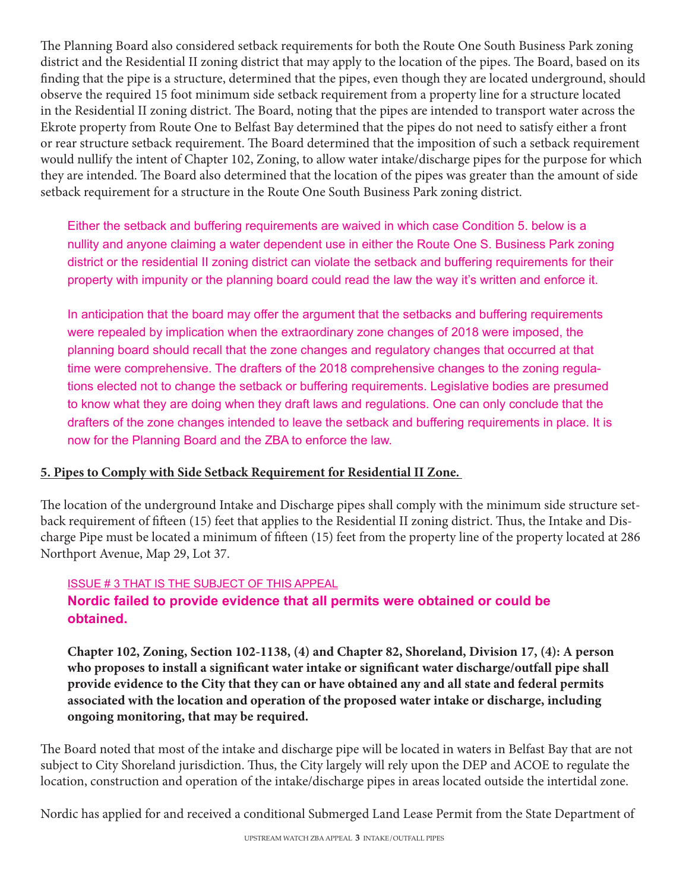The Planning Board also considered setback requirements for both the Route One South Business Park zoning district and the Residential II zoning district that may apply to the location of the pipes. The Board, based on its finding that the pipe is a structure, determined that the pipes, even though they are located underground, should observe the required 15 foot minimum side setback requirement from a property line for a structure located in the Residential II zoning district. The Board, noting that the pipes are intended to transport water across the Ekrote property from Route One to Belfast Bay determined that the pipes do not need to satisfy either a front or rear structure setback requirement. The Board determined that the imposition of such a setback requirement would nullify the intent of Chapter 102, Zoning, to allow water intake/discharge pipes for the purpose for which they are intended. The Board also determined that the location of the pipes was greater than the amount of side setback requirement for a structure in the Route One South Business Park zoning district.

Either the setback and buffering requirements are waived in which case Condition 5. below is a nullity and anyone claiming a water dependent use in either the Route One S. Business Park zoning district or the residential II zoning district can violate the setback and buffering requirements for their property with impunity or the planning board could read the law the way it's written and enforce it.

In anticipation that the board may offer the argument that the setbacks and buffering requirements were repealed by implication when the extraordinary zone changes of 2018 were imposed, the planning board should recall that the zone changes and regulatory changes that occurred at that time were comprehensive. The drafters of the 2018 comprehensive changes to the zoning regulations elected not to change the setback or buffering requirements. Legislative bodies are presumed to know what they are doing when they draft laws and regulations. One can only conclude that the drafters of the zone changes intended to leave the setback and buffering requirements in place. It is now for the Planning Board and the ZBA to enforce the law.

#### **5. Pipes to Comply with Side Setback Requirement for Residential II Zone.**

The location of the underground Intake and Discharge pipes shall comply with the minimum side structure setback requirement of fifteen (15) feet that applies to the Residential II zoning district. Thus, the Intake and Discharge Pipe must be located a minimum of fifteen (15) feet from the property line of the property located at 286 Northport Avenue, Map 29, Lot 37.

#### ISSUE # 3 THAT IS THE SUBJECT OF THIS APPEAL

## **Nordic failed to provide evidence that all permits were obtained or could be obtained.**

**Chapter 102, Zoning, Section 102-1138, (4) and Chapter 82, Shoreland, Division 17, (4): A person who proposes to install a significant water intake or significant water discharge/outfall pipe shall provide evidence to the City that they can or have obtained any and all state and federal permits associated with the location and operation of the proposed water intake or discharge, including ongoing monitoring, that may be required.** 

The Board noted that most of the intake and discharge pipe will be located in waters in Belfast Bay that are not subject to City Shoreland jurisdiction. Thus, the City largely will rely upon the DEP and ACOE to regulate the location, construction and operation of the intake/discharge pipes in areas located outside the intertidal zone.

Nordic has applied for and received a conditional Submerged Land Lease Permit from the State Department of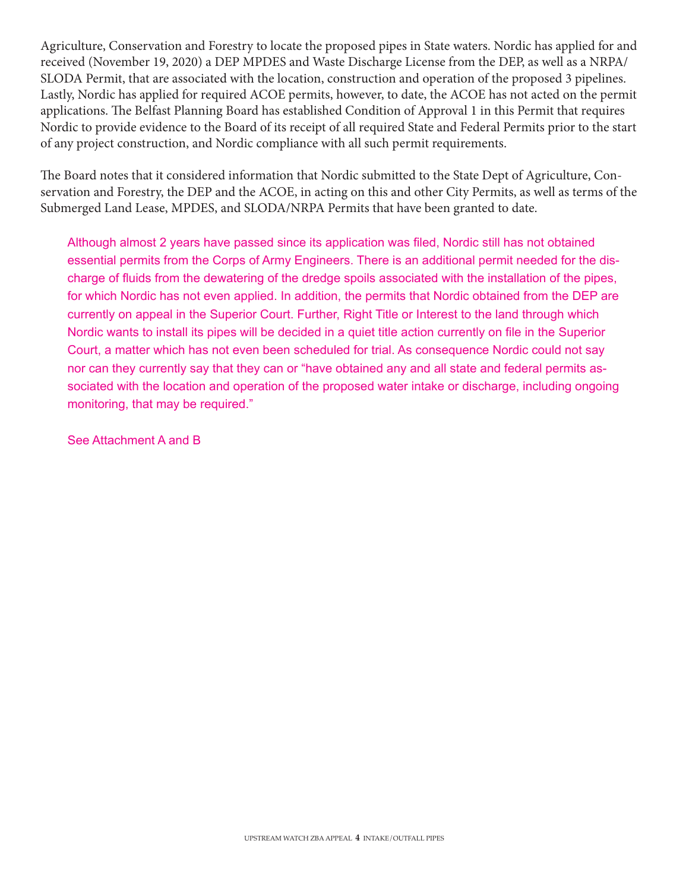Agriculture, Conservation and Forestry to locate the proposed pipes in State waters. Nordic has applied for and received (November 19, 2020) a DEP MPDES and Waste Discharge License from the DEP, as well as a NRPA/ SLODA Permit, that are associated with the location, construction and operation of the proposed 3 pipelines. Lastly, Nordic has applied for required ACOE permits, however, to date, the ACOE has not acted on the permit applications. The Belfast Planning Board has established Condition of Approval 1 in this Permit that requires Nordic to provide evidence to the Board of its receipt of all required State and Federal Permits prior to the start of any project construction, and Nordic compliance with all such permit requirements.

The Board notes that it considered information that Nordic submitted to the State Dept of Agriculture, Conservation and Forestry, the DEP and the ACOE, in acting on this and other City Permits, as well as terms of the Submerged Land Lease, MPDES, and SLODA/NRPA Permits that have been granted to date.

Although almost 2 years have passed since its application was filed, Nordic still has not obtained essential permits from the Corps of Army Engineers. There is an additional permit needed for the discharge of fluids from the dewatering of the dredge spoils associated with the installation of the pipes, for which Nordic has not even applied. In addition, the permits that Nordic obtained from the DEP are currently on appeal in the Superior Court. Further, Right Title or Interest to the land through which Nordic wants to install its pipes will be decided in a quiet title action currently on file in the Superior Court, a matter which has not even been scheduled for trial. As consequence Nordic could not say nor can they currently say that they can or "have obtained any and all state and federal permits associated with the location and operation of the proposed water intake or discharge, including ongoing monitoring, that may be required."

See Attachment A and B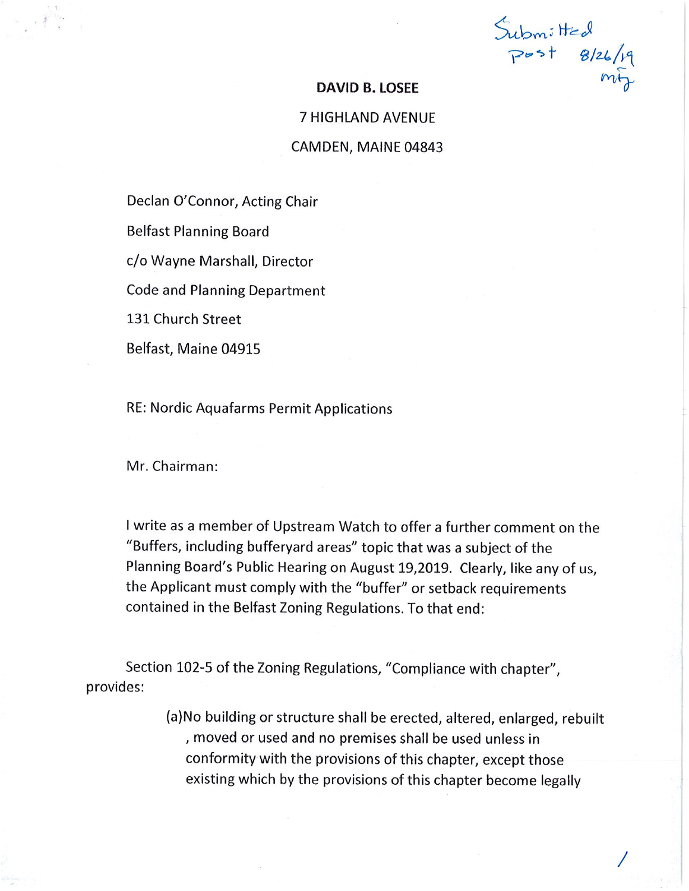Submitted<br>Post 8/26/19

#### **DAVID B. LOSEE**

## **7 HIGHLAND AVENUE** CAMDEN, MAINE 04843

Declan O'Connor, Acting Chair

**Belfast Planning Board** 

c/o Wayne Marshall, Director

**Code and Planning Department** 

131 Church Street

Belfast, Maine 04915

RE: Nordic Aquafarms Permit Applications

Mr. Chairman:

I write as a member of Upstream Watch to offer a further comment on the "Buffers, including bufferyard areas" topic that was a subject of the Planning Board's Public Hearing on August 19,2019. Clearly, like any of us, the Applicant must comply with the "buffer" or setback requirements contained in the Belfast Zoning Regulations. To that end:

Section 102-5 of the Zoning Regulations, "Compliance with chapter", provides:

> (a) No building or structure shall be erected, altered, enlarged, rebuilt , moved or used and no premises shall be used unless in conformity with the provisions of this chapter, except those existing which by the provisions of this chapter become legally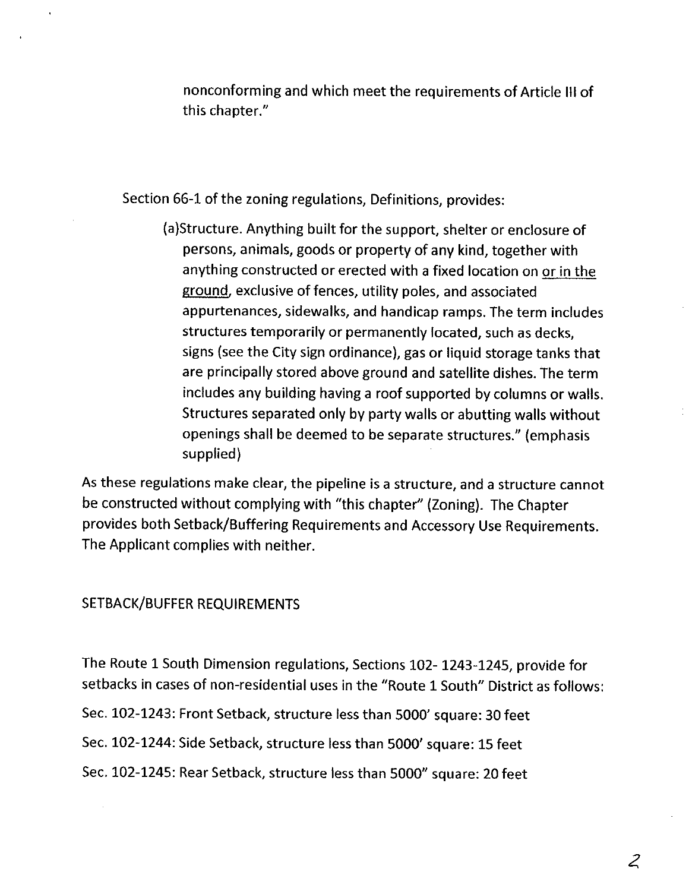nonconforming and which meet the requirements of Article III of this chapter."

Section 66-1 of the zoning regulations, Definitions, provides:

(a)Structure. Anything built for the support, shelter or enclosure of persons, animals, goods or property of any kind, together with anything constructed or erected with a fixed location on or in the ground, exclusive of fences, utility poles, and associated appurtenances, sidewalks, and handicap ramps. The term includes structures temporarily or permanently located, such as decks, signs (see the City sign ordinance), gas or liquid storage tanks that are principally stored above ground and satellite dishes. The term includes any building having a roof supported by columns or walls. Structures separated only by party walls or abutting walls without openings shall be deemed to be separate structures." (emphasis supplied)

As these regulations make clear, the pipeline is a structure, and a structure cannot be constructed without complying with "this chapter" (Zoning). The Chapter provides both Setback/Buffering Requirements and Accessory Use Requirements. The Applicant complies with neither.

#### SETBACK/BUFFER REQUIREMENTS

The Route 1 South Dimension regulations, Sections 102-1243-1245, provide for setbacks in cases of non-residential uses in the "Route 1 South" District as follows: Sec. 102-1243: Front Setback, structure less than 5000' square: 30 feet Sec. 102-1244: Side Setback, structure less than 5000' square: 15 feet Sec. 102-1245: Rear Setback, structure less than 5000" square: 20 feet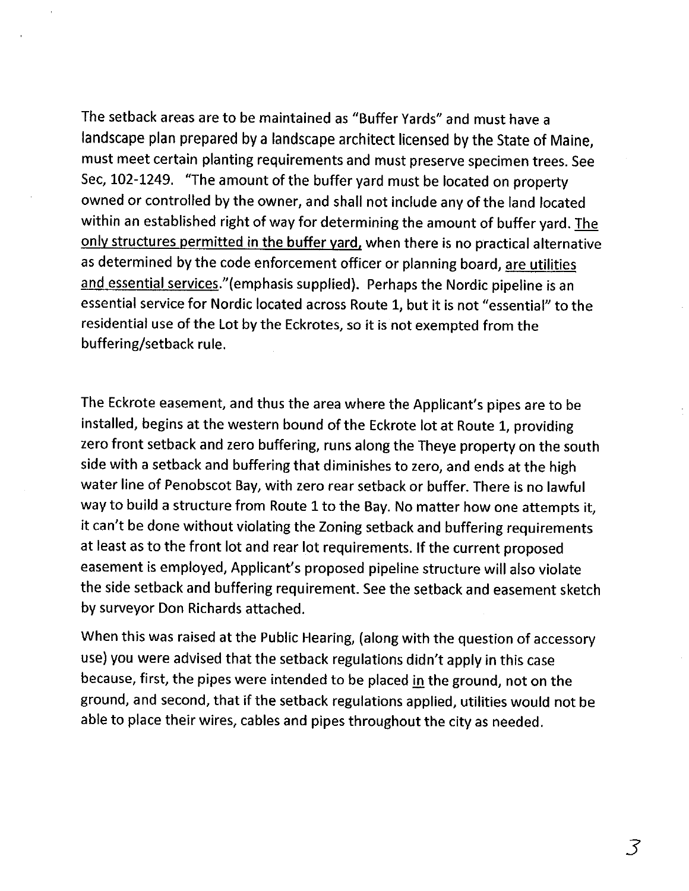The setback areas are to be maintained as "Buffer Yards" and must have a landscape plan prepared by a landscape architect licensed by the State of Maine, must meet certain planting requirements and must preserve specimen trees. See Sec, 102-1249. "The amount of the buffer yard must be located on property owned or controlled by the owner, and shall not include any of the land located within an established right of way for determining the amount of buffer yard. The only structures permitted in the buffer yard, when there is no practical alternative as determined by the code enforcement officer or planning board, are utilities and essential services."(emphasis supplied). Perhaps the Nordic pipeline is an essential service for Nordic located across Route 1, but it is not "essential" to the residential use of the Lot by the Eckrotes, so it is not exempted from the buffering/setback rule.

The Eckrote easement, and thus the area where the Applicant's pipes are to be installed, begins at the western bound of the Eckrote lot at Route 1, providing zero front setback and zero buffering, runs along the Theye property on the south side with a setback and buffering that diminishes to zero, and ends at the high water line of Penobscot Bay, with zero rear setback or buffer. There is no lawful way to build a structure from Route 1 to the Bay. No matter how one attempts it, it can't be done without violating the Zoning setback and buffering requirements at least as to the front lot and rear lot requirements. If the current proposed easement is employed, Applicant's proposed pipeline structure will also violate the side setback and buffering requirement. See the setback and easement sketch by surveyor Don Richards attached.

When this was raised at the Public Hearing, (along with the question of accessory use) you were advised that the setback regulations didn't apply in this case because, first, the pipes were intended to be placed in the ground, not on the ground, and second, that if the setback regulations applied, utilities would not be able to place their wires, cables and pipes throughout the city as needed.

3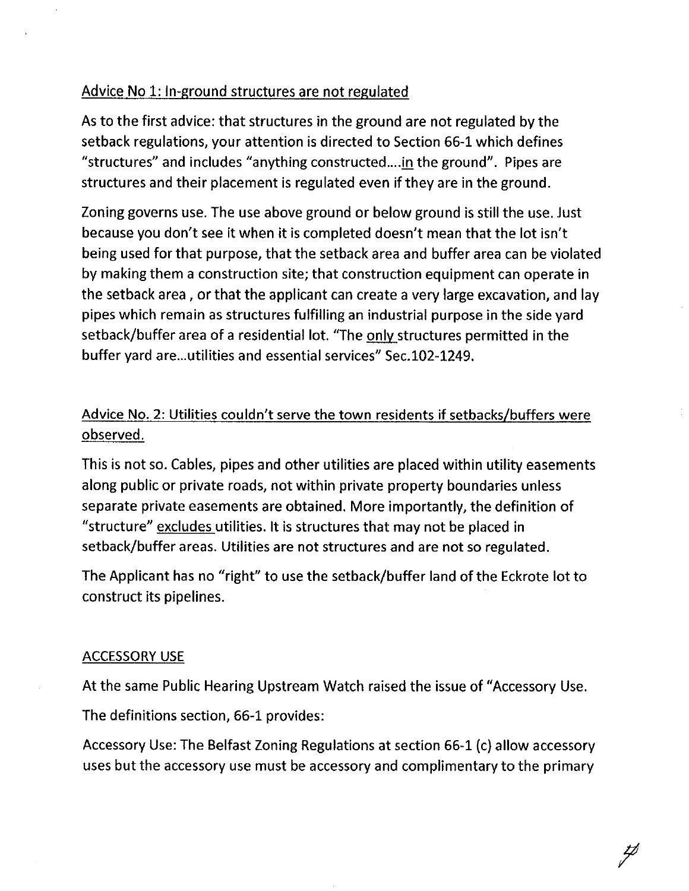## Advice No 1: In-ground structures are not regulated

As to the first advice: that structures in the ground are not regulated by the setback regulations, your attention is directed to Section 66-1 which defines "structures" and includes "anything constructed....in the ground". Pipes are structures and their placement is regulated even if they are in the ground.

Zoning governs use. The use above ground or below ground is still the use, Just because you don't see it when it is completed doesn't mean that the lot isn't being used for that purpose, that the setback area and buffer area can be violated by making them a construction site; that construction equipment can operate in the setback area, or that the applicant can create a very large excavation, and lay pipes which remain as structures fulfilling an industrial purpose in the side yard setback/buffer area of a residential lot. "The only structures permitted in the buffer yard are...utilities and essential services" Sec.102-1249.

## Advice No. 2: Utilities couldn't serve the town residents if setbacks/buffers were observed.

This is not so. Cables, pipes and other utilities are placed within utility easements along public or private roads, not within private property boundaries unless separate private easements are obtained. More importantly, the definition of "structure" excludes utilities. It is structures that may not be placed in setback/buffer areas. Utilities are not structures and are not so regulated.

The Applicant has no "right" to use the setback/buffer land of the Eckrote lot to construct its pipelines.

## **ACCESSORY USE**

At the same Public Hearing Upstream Watch raised the issue of "Accessory Use.

The definitions section, 66-1 provides:

Accessory Use: The Belfast Zoning Regulations at section 66-1 (c) allow accessory uses but the accessory use must be accessory and complimentary to the primary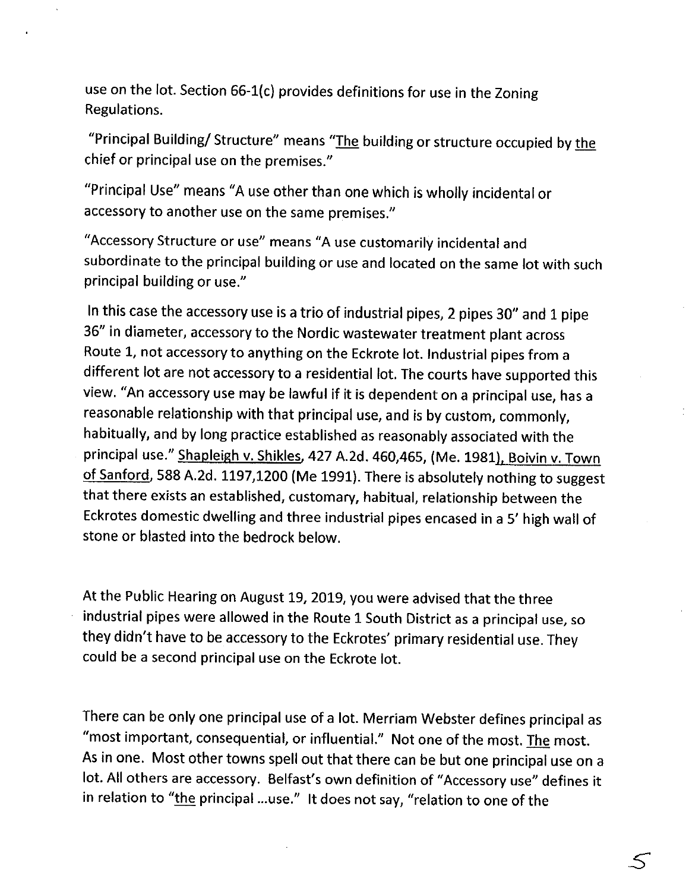use on the lot. Section 66-1(c) provides definitions for use in the Zoning Regulations.

"Principal Building/Structure" means "The building or structure occupied by the chief or principal use on the premises."

"Principal Use" means "A use other than one which is wholly incidental or accessory to another use on the same premises."

"Accessory Structure or use" means "A use customarily incidental and subordinate to the principal building or use and located on the same lot with such principal building or use."

In this case the accessory use is a trio of industrial pipes, 2 pipes 30" and 1 pipe 36" in diameter, accessory to the Nordic wastewater treatment plant across Route 1, not accessory to anything on the Eckrote lot. Industrial pipes from a different lot are not accessory to a residential lot. The courts have supported this view. "An accessory use may be lawful if it is dependent on a principal use, has a reasonable relationship with that principal use, and is by custom, commonly, habitually, and by long practice established as reasonably associated with the principal use." Shapleigh v. Shikles, 427 A.2d. 460,465, (Me. 1981), Boivin v. Town of Sanford, 588 A.2d. 1197,1200 (Me 1991). There is absolutely nothing to suggest that there exists an established, customary, habitual, relationship between the Eckrotes domestic dwelling and three industrial pipes encased in a 5' high wall of stone or blasted into the bedrock below.

At the Public Hearing on August 19, 2019, you were advised that the three industrial pipes were allowed in the Route 1 South District as a principal use, so they didn't have to be accessory to the Eckrotes' primary residential use. They could be a second principal use on the Eckrote lot.

There can be only one principal use of a lot. Merriam Webster defines principal as "most important, consequential, or influential." Not one of the most. The most. As in one. Most other towns spell out that there can be but one principal use on a lot. All others are accessory. Belfast's own definition of "Accessory use" defines it in relation to "the principal ...use." It does not say, "relation to one of the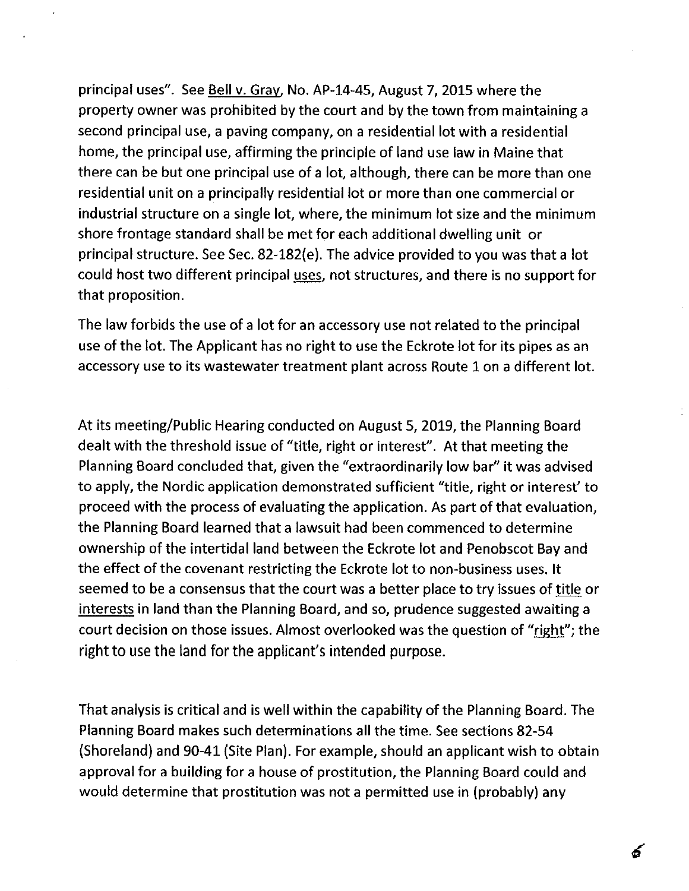principal uses". See Bell v. Gray, No. AP-14-45, August 7, 2015 where the property owner was prohibited by the court and by the town from maintaining a second principal use, a paving company, on a residential lot with a residential home, the principal use, affirming the principle of land use law in Maine that there can be but one principal use of a lot, although, there can be more than one residential unit on a principally residential lot or more than one commercial or industrial structure on a single lot, where, the minimum lot size and the minimum shore frontage standard shall be met for each additional dwelling unit or principal structure. See Sec. 82-182(e). The advice provided to you was that a lot could host two different principal uses, not structures, and there is no support for that proposition.

The law forbids the use of a lot for an accessory use not related to the principal use of the lot. The Applicant has no right to use the Eckrote lot for its pipes as an accessory use to its wastewater treatment plant across Route 1 on a different lot.

At its meeting/Public Hearing conducted on August 5, 2019, the Planning Board dealt with the threshold issue of "title, right or interest". At that meeting the Planning Board concluded that, given the "extraordinarily low bar" it was advised to apply, the Nordic application demonstrated sufficient "title, right or interest' to proceed with the process of evaluating the application. As part of that evaluation, the Planning Board learned that a lawsuit had been commenced to determine ownership of the intertidal land between the Eckrote lot and Penobscot Bay and the effect of the covenant restricting the Eckrote lot to non-business uses. It seemed to be a consensus that the court was a better place to try issues of title or interests in land than the Planning Board, and so, prudence suggested awaiting a court decision on those issues. Almost overlooked was the question of "right"; the right to use the land for the applicant's intended purpose.

That analysis is critical and is well within the capability of the Planning Board. The Planning Board makes such determinations all the time. See sections 82-54 (Shoreland) and 90-41 (Site Plan). For example, should an applicant wish to obtain approval for a building for a house of prostitution, the Planning Board could and would determine that prostitution was not a permitted use in (probably) any

ර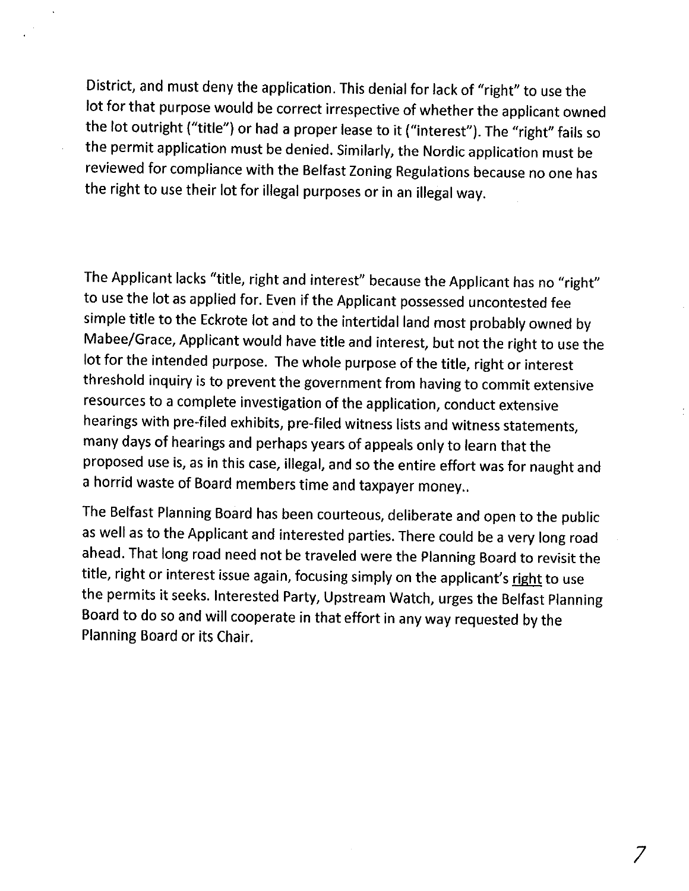District, and must deny the application. This denial for lack of "right" to use the lot for that purpose would be correct irrespective of whether the applicant owned the lot outright ("title") or had a proper lease to it ("interest"). The "right" fails so the permit application must be denied. Similarly, the Nordic application must be reviewed for compliance with the Belfast Zoning Regulations because no one has the right to use their lot for illegal purposes or in an illegal way.

The Applicant lacks "title, right and interest" because the Applicant has no "right" to use the lot as applied for. Even if the Applicant possessed uncontested fee simple title to the Eckrote lot and to the intertidal land most probably owned by Mabee/Grace, Applicant would have title and interest, but not the right to use the lot for the intended purpose. The whole purpose of the title, right or interest threshold inquiry is to prevent the government from having to commit extensive resources to a complete investigation of the application, conduct extensive hearings with pre-filed exhibits, pre-filed witness lists and witness statements, many days of hearings and perhaps years of appeals only to learn that the proposed use is, as in this case, illegal, and so the entire effort was for naught and a horrid waste of Board members time and taxpayer money..

The Belfast Planning Board has been courteous, deliberate and open to the public as well as to the Applicant and interested parties. There could be a very long road ahead. That long road need not be traveled were the Planning Board to revisit the title, right or interest issue again, focusing simply on the applicant's right to use the permits it seeks. Interested Party, Upstream Watch, urges the Belfast Planning Board to do so and will cooperate in that effort in any way requested by the Planning Board or its Chair.

7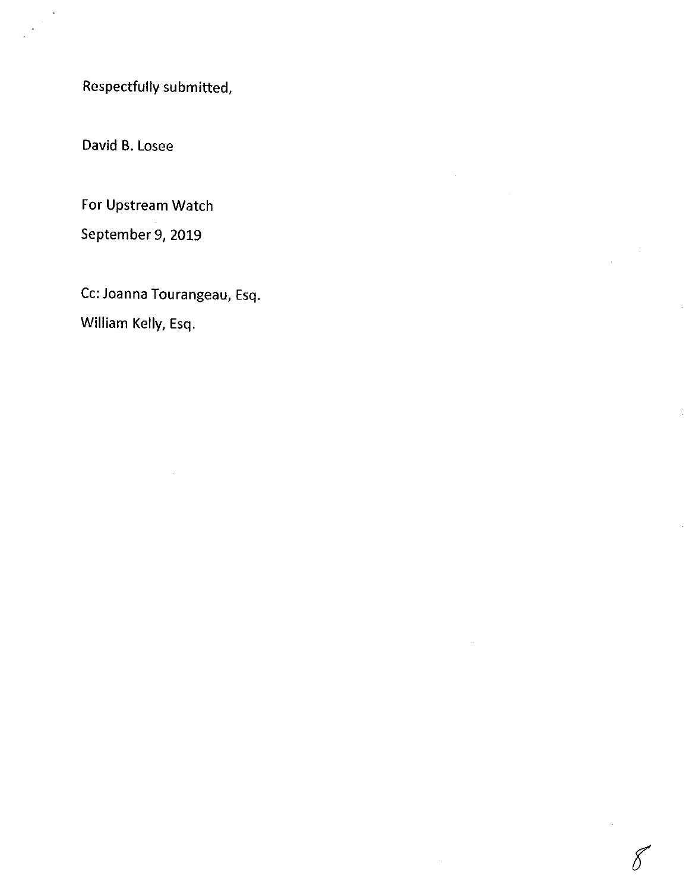Respectfully submitted,

David B. Losee

For Upstream Watch

September 9, 2019

Cc: Joanna Tourangeau, Esq. William Kelly, Esq.